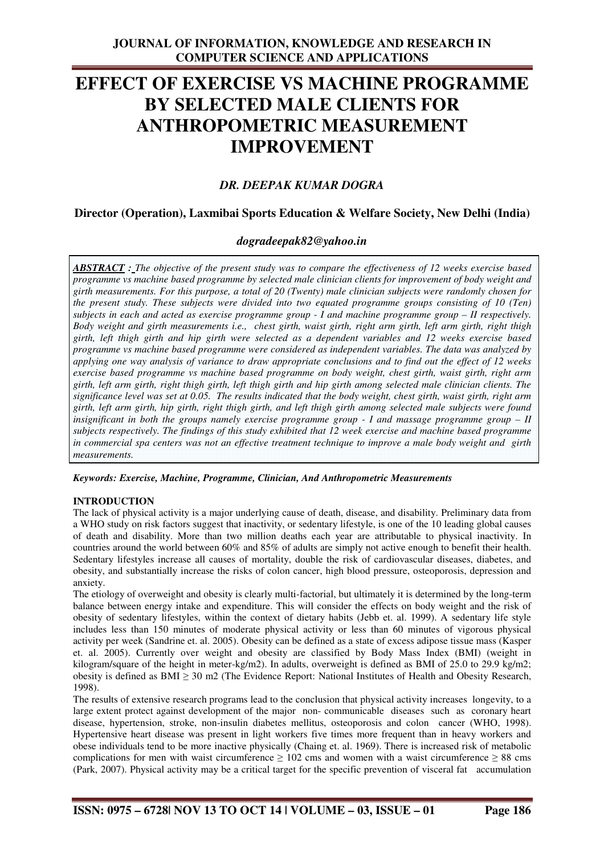# **EFFECT OF EXERCISE VS MACHINE PROGRAMME BY SELECTED MALE CLIENTS FOR ANTHROPOMETRIC MEASUREMENT IMPROVEMENT**

# *DR. DEEPAK KUMAR DOGRA*

## **Director (Operation), Laxmibai Sports Education & Welfare Society, New Delhi (India)**

## *dogradeepak82@yahoo.in*

*ABSTRACT : The objective of the present study was to compare the effectiveness of 12 weeks exercise based programme vs machine based programme by selected male clinician clients for improvement of body weight and girth measurements. For this purpose, a total of 20 (Twenty) male clinician subjects were randomly chosen for the present study. These subjects were divided into two equated programme groups consisting of 10 (Ten) subjects in each and acted as exercise programme group - I and machine programme group – II respectively. Body weight and girth measurements i.e., chest girth, waist girth, right arm girth, left arm girth, right thigh girth, left thigh girth and hip girth were selected as a dependent variables and 12 weeks exercise based programme vs machine based programme were considered as independent variables. The data was analyzed by applying one way analysis of variance to draw appropriate conclusions and to find out the effect of 12 weeks exercise based programme vs machine based programme on body weight, chest girth, waist girth, right arm girth, left arm girth, right thigh girth, left thigh girth and hip girth among selected male clinician clients. The significance level was set at 0.05. The results indicated that the body weight, chest girth, waist girth, right arm girth, left arm girth, hip girth, right thigh girth, and left thigh girth among selected male subjects were found insignificant in both the groups namely exercise programme group - I and massage programme group – II subjects respectively. The findings of this study exhibited that 12 week exercise and machine based programme in commercial spa centers was not an effective treatment technique to improve a male body weight and girth measurements.* 

#### *Keywords: Exercise, Machine, Programme, Clinician, And Anthropometric Measurements*

## **INTRODUCTION**

The lack of physical activity is a major underlying cause of death, disease, and disability. Preliminary data from a WHO study on risk factors suggest that inactivity, or sedentary lifestyle, is one of the 10 leading global causes of death and disability. More than two million deaths each year are attributable to physical inactivity. In countries around the world between 60% and 85% of adults are simply not active enough to benefit their health. Sedentary lifestyles increase all causes of mortality, double the risk of cardiovascular diseases, diabetes, and obesity, and substantially increase the risks of colon cancer, high blood pressure, osteoporosis, depression and anxiety.

The etiology of overweight and obesity is clearly multi-factorial, but ultimately it is determined by the long-term balance between energy intake and expenditure. This will consider the effects on body weight and the risk of obesity of sedentary lifestyles, within the context of dietary habits (Jebb et. al. 1999). A sedentary life style includes less than 150 minutes of moderate physical activity or less than 60 minutes of vigorous physical activity per week (Sandrine et. al. 2005). Obesity can be defined as a state of excess adipose tissue mass (Kasper et. al. 2005). Currently over weight and obesity are classified by Body Mass Index (BMI) (weight in kilogram/square of the height in meter-kg/m2). In adults, overweight is defined as BMI of 25.0 to 29.9 kg/m2; obesity is defined as  $BMI \geq 30$  m2 (The Evidence Report: National Institutes of Health and Obesity Research, 1998).

The results of extensive research programs lead to the conclusion that physical activity increases longevity, to a large extent protect against development of the major non- communicable diseases such as coronary heart disease, hypertension, stroke, non-insulin diabetes mellitus, osteoporosis and colon cancer (WHO, 1998). Hypertensive heart disease was present in light workers five times more frequent than in heavy workers and obese individuals tend to be more inactive physically (Chaing et. al. 1969). There is increased risk of metabolic complications for men with waist circumference  $\geq 102$  cms and women with a waist circumference  $\geq 88$  cms (Park, 2007). Physical activity may be a critical target for the specific prevention of visceral fat accumulation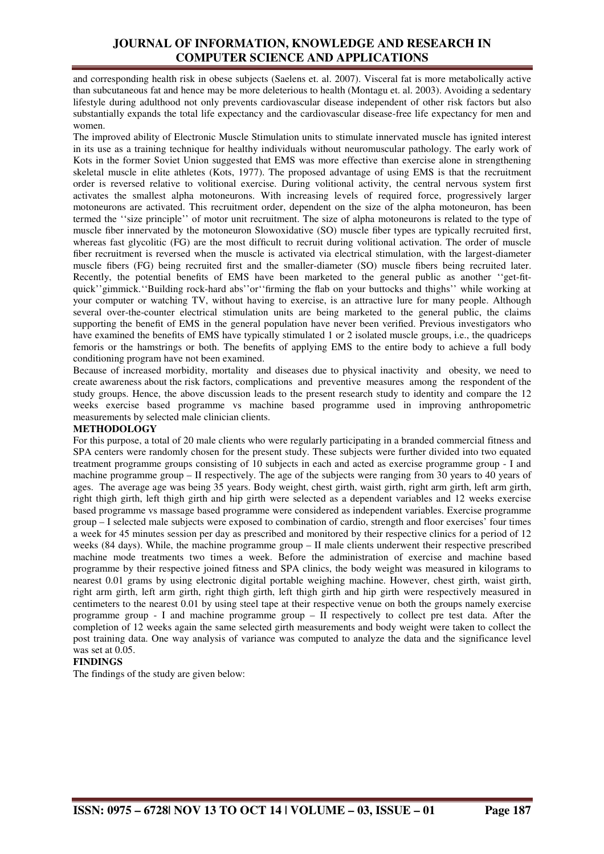## **JOURNAL OF INFORMATION, KNOWLEDGE AND RESEARCH IN COMPUTER SCIENCE AND APPLICATIONS**

and corresponding health risk in obese subjects (Saelens et. al. 2007). Visceral fat is more metabolically active than subcutaneous fat and hence may be more deleterious to health (Montagu et. al. 2003). Avoiding a sedentary lifestyle during adulthood not only prevents cardiovascular disease independent of other risk factors but also substantially expands the total life expectancy and the cardiovascular disease-free life expectancy for men and women.

The improved ability of Electronic Muscle Stimulation units to stimulate innervated muscle has ignited interest in its use as a training technique for healthy individuals without neuromuscular pathology. The early work of Kots in the former Soviet Union suggested that EMS was more effective than exercise alone in strengthening skeletal muscle in elite athletes (Kots, 1977). The proposed advantage of using EMS is that the recruitment order is reversed relative to volitional exercise. During volitional activity, the central nervous system first activates the smallest alpha motoneurons. With increasing levels of required force, progressively larger motoneurons are activated. This recruitment order, dependent on the size of the alpha motoneuron, has been termed the ''size principle'' of motor unit recruitment. The size of alpha motoneurons is related to the type of muscle fiber innervated by the motoneuron Slowoxidative (SO) muscle fiber types are typically recruited first, whereas fast glycolitic (FG) are the most difficult to recruit during volitional activation. The order of muscle fiber recruitment is reversed when the muscle is activated via electrical stimulation, with the largest-diameter muscle fibers (FG) being recruited first and the smaller-diameter (SO) muscle fibers being recruited later. Recently, the potential benefits of EMS have been marketed to the general public as another ''get-fitquick''gimmick.''Building rock-hard abs''or''firming the flab on your buttocks and thighs'' while working at your computer or watching TV, without having to exercise, is an attractive lure for many people. Although several over-the-counter electrical stimulation units are being marketed to the general public, the claims supporting the benefit of EMS in the general population have never been verified. Previous investigators who have examined the benefits of EMS have typically stimulated 1 or 2 isolated muscle groups, i.e., the quadriceps femoris or the hamstrings or both. The benefits of applying EMS to the entire body to achieve a full body conditioning program have not been examined.

Because of increased morbidity, mortality and diseases due to physical inactivity and obesity, we need to create awareness about the risk factors, complications and preventive measures among the respondent of the study groups. Hence, the above discussion leads to the present research study to identity and compare the 12 weeks exercise based programme vs machine based programme used in improving anthropometric measurements by selected male clinician clients.

#### **METHODOLOGY**

For this purpose, a total of 20 male clients who were regularly participating in a branded commercial fitness and SPA centers were randomly chosen for the present study. These subjects were further divided into two equated treatment programme groups consisting of 10 subjects in each and acted as exercise programme group - I and machine programme group – II respectively. The age of the subjects were ranging from 30 years to 40 years of ages. The average age was being 35 years. Body weight, chest girth, waist girth, right arm girth, left arm girth, right thigh girth, left thigh girth and hip girth were selected as a dependent variables and 12 weeks exercise based programme vs massage based programme were considered as independent variables. Exercise programme group – I selected male subjects were exposed to combination of cardio, strength and floor exercises' four times a week for 45 minutes session per day as prescribed and monitored by their respective clinics for a period of 12 weeks (84 days). While, the machine programme group – II male clients underwent their respective prescribed machine mode treatments two times a week. Before the administration of exercise and machine based programme by their respective joined fitness and SPA clinics, the body weight was measured in kilograms to nearest 0.01 grams by using electronic digital portable weighing machine. However, chest girth, waist girth, right arm girth, left arm girth, right thigh girth, left thigh girth and hip girth were respectively measured in centimeters to the nearest 0.01 by using steel tape at their respective venue on both the groups namely exercise programme group - I and machine programme group – II respectively to collect pre test data. After the completion of 12 weeks again the same selected girth measurements and body weight were taken to collect the post training data. One way analysis of variance was computed to analyze the data and the significance level was set at 0.05.

## **FINDINGS**

The findings of the study are given below: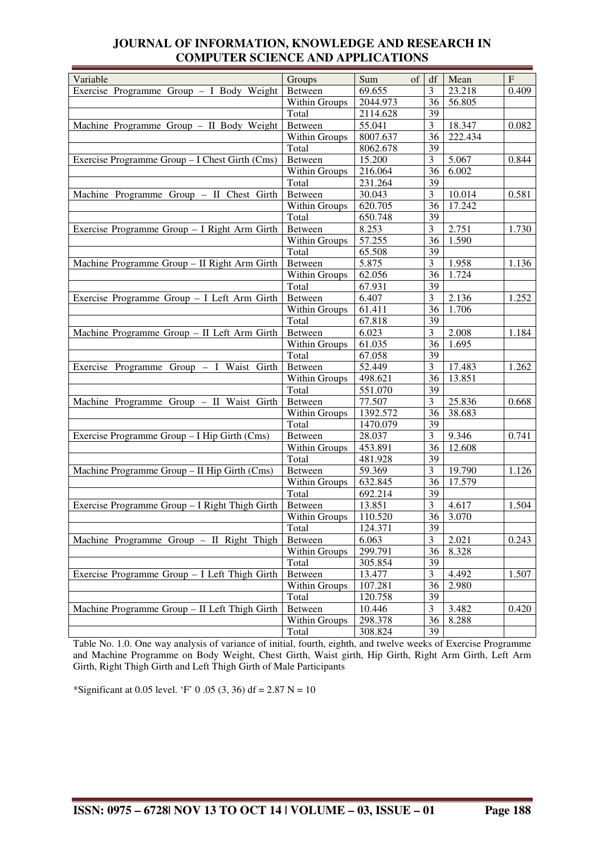| Variable                                       | Groups        | Sum<br>$\sigma$ | df             | Mean    | $\mathbf F$ |
|------------------------------------------------|---------------|-----------------|----------------|---------|-------------|
| Exercise Programme Group - I Body Weight       | Between       | 69.655          | 3              | 23.218  | 0.409       |
|                                                | Within Groups | 2044.973        | 36             | 56.805  |             |
|                                                | Total         | 2114.628        | 39             |         |             |
| Machine Programme Group - II Body Weight       | Between       | 55.041          | 3              | 18.347  | 0.082       |
|                                                | Within Groups | 8007.637        | 36             | 222.434 |             |
|                                                | Total         | 8062.678        | 39             |         |             |
| Exercise Programme Group - I Chest Girth (Cms) | Between       | 15.200          | 3              | 5.067   | 0.844       |
|                                                | Within Groups | 216.064         | 36             | 6.002   |             |
|                                                | Total         | 231.264         | 39             |         |             |
| Machine Programme Group - II Chest Girth       | Between       | 30.043          | 3              | 10.014  | 0.581       |
|                                                | Within Groups | 620.705         | 36             | 17.242  |             |
|                                                | Total         | 650.748         | 39             |         |             |
| Exercise Programme Group - I Right Arm Girth   | Between       | 8.253           | 3              | 2.751   | 1.730       |
|                                                | Within Groups | 57.255          | 36             | 1.590   |             |
|                                                | Total         | 65.508          | 39             |         |             |
| Machine Programme Group - II Right Arm Girth   | Between       | 5.875           | 3              | 1.958   | 1.136       |
|                                                | Within Groups | 62.056          | 36             | 1.724   |             |
|                                                | Total         | 67.931          | 39             |         |             |
| Exercise Programme Group - I Left Arm Girth    | Between       | 6.407           | 3              | 2.136   | 1.252       |
|                                                | Within Groups | 61.411          | 36             | 1.706   |             |
|                                                | Total         | 67.818          | 39             |         |             |
| Machine Programme Group - II Left Arm Girth    | Between       | 6.023           | $\mathfrak{Z}$ | 2.008   | 1.184       |
|                                                | Within Groups | 61.035          | 36             | 1.695   |             |
|                                                | Total         | 67.058          | 39             |         |             |
| Exercise Programme Group - I Waist Girth       | Between       | 52.449          | 3              | 17.483  | 1.262       |
|                                                | Within Groups | 498.621         | 36             | 13.851  |             |
|                                                | Total         | 551.070         | 39             |         |             |
| Machine Programme Group - II Waist Girth       | Between       | 77.507          | 3              | 25.836  | 0.668       |
|                                                | Within Groups | 1392.572        | 36             | 38.683  |             |
|                                                | Total         | 1470.079        | 39             |         |             |
| Exercise Programme Group - I Hip Girth (Cms)   | Between       | 28.037          | $\mathfrak{Z}$ | 9.346   | 0.741       |
|                                                | Within Groups | 453.891         | 36             | 12.608  |             |
|                                                | Total         | 481.928         | 39             |         |             |
| Machine Programme Group - II Hip Girth (Cms)   | Between       | 59.369          | 3              | 19.790  | 1.126       |
|                                                | Within Groups | 632.845         | 36             | 17.579  |             |
|                                                | Total         | 692.214         | 39             |         |             |
| Exercise Programme Group - I Right Thigh Girth | Between       | 13.851          | 3              | 4.617   | 1.504       |
|                                                | Within Groups | 110.520         | 36             | 3.070   |             |
|                                                | Total         | 124.371         | 39             |         |             |
| Machine Programme Group - II Right Thigh       | Between       | 6.063           | $\mathfrak{Z}$ | 2.021   | 0.243       |
|                                                | Within Groups | 299.791         | 36             | 8.328   |             |
|                                                | Total         | 305.854         | 39             |         |             |
| Exercise Programme Group - I Left Thigh Girth  | Between       | 13.477          | 3              | 4.492   | 1.507       |
|                                                | Within Groups | 107.281         | 36             | 2.980   |             |
|                                                | Total         | 120.758         | 39             |         |             |
| Machine Programme Group - II Left Thigh Girth  | Between       | 10.446          | 3              | 3.482   | 0.420       |
|                                                | Within Groups | 298.378         | 36             | 8.288   |             |
|                                                | Total         | 308.824         | 39             |         |             |

# **JOURNAL OF INFORMATION, KNOWLEDGE AND RESEARCH IN COMPUTER SCIENCE AND APPLICATIONS**

Table No. 1.0. One way analysis of variance of initial, fourth, eighth, and twelve weeks of Exercise Programme and Machine Programme on Body Weight, Chest Girth, Waist girth, Hip Girth, Right Arm Girth, Left Arm Girth, Right Thigh Girth and Left Thigh Girth of Male Participants

\*Significant at 0.05 level. 'F' 0 .05 (3, 36) df = 2.87 N = 10